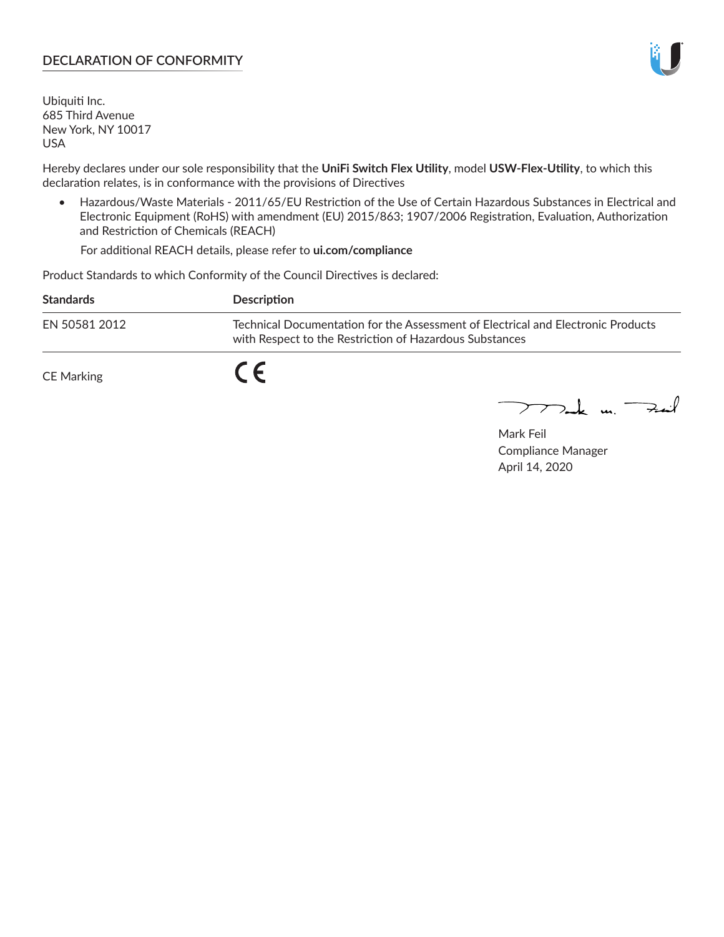## **DECLARATION OF CONFORMITY**

Ubiquiti Inc. 685 Third Avenue New York, NY 10017 USA

Hereby declares under our sole responsibility that the **UniFi Switch Flex Utility**, model **USW-Flex-Utility**, to which this declaration relates, is in conformance with the provisions of Directives

• Hazardous/Waste Materials - 2011/65/EU Restriction of the Use of Certain Hazardous Substances in Electrical and Electronic Equipment (RoHS) with amendment (EU) 2015/863; 1907/2006 Registration, Evaluation, Authorization and Restriction of Chemicals (REACH)

For additional REACH details, please refer to **ui.com/compliance**

Product Standards to which Conformity of the Council Directives is declared:

| <b>Standards</b> | <b>Description</b>                                                                                                                          |
|------------------|---------------------------------------------------------------------------------------------------------------------------------------------|
| EN 50581 2012    | Technical Documentation for the Assessment of Electrical and Electronic Products<br>with Respect to the Restriction of Hazardous Substances |
| CE Marking       |                                                                                                                                             |

 $\sum_{n=1}^{\infty}$  un  $\sum_{n=1}^{\infty}$ 

Mark Feil Compliance Manager April 14, 2020

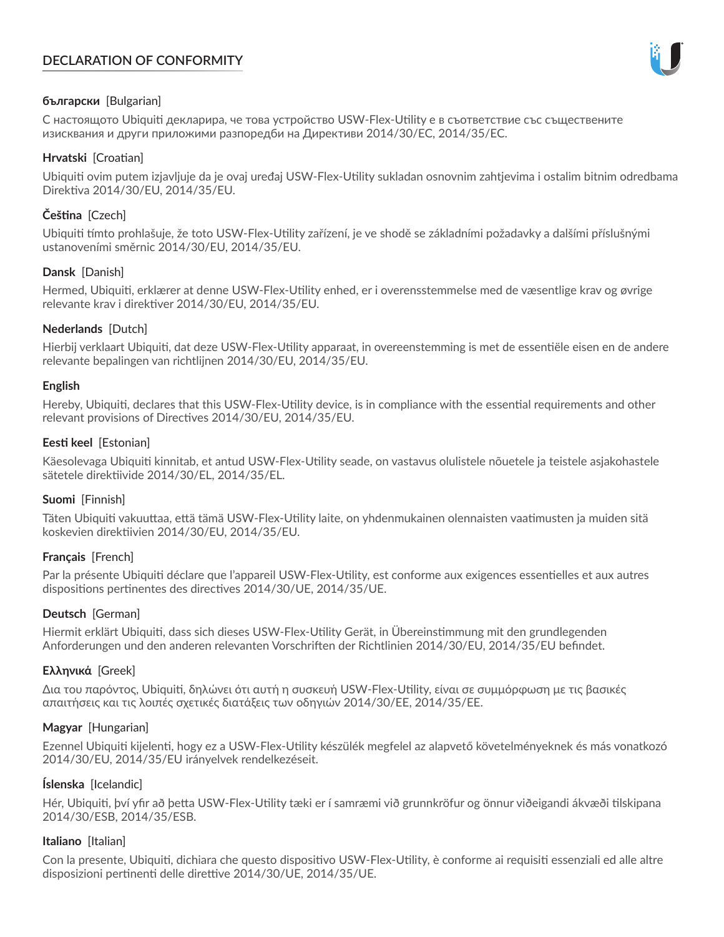# **DECLARATION OF CONFORMITY**



## **български** [Bulgarian]

С настоящото Ubiquiti декларира, че това устройство USW-Flex-Utility е в съответствие със съществените изисквания и други приложими разпоредби на Директиви 2014/30/ЕС, 2014/35/ЕС.

## **Hrvatski** [Croatian]

Ubiquiti ovim putem izjavljuje da je ovaj uređaj USW-Flex-Utility sukladan osnovnim zahtjevima i ostalim bitnim odredbama Direktiva 2014/30/EU, 2014/35/EU.

# **Čeština** [Czech]

Ubiquiti tímto prohlašuje, že toto USW-Flex-Utility zařízení, je ve shodě se základními požadavky a dalšími příslušnými ustanoveními směrnic 2014/30/EU, 2014/35/EU.

## **Dansk** [Danish]

Hermed, Ubiquiti, erklærer at denne USW-Flex-Utility enhed, er i overensstemmelse med de væsentlige krav og øvrige relevante krav i direktiver 2014/30/EU, 2014/35/EU.

## **Nederlands** [Dutch]

Hierbij verklaart Ubiquiti, dat deze USW-Flex-Utility apparaat, in overeenstemming is met de essentiële eisen en de andere relevante bepalingen van richtlijnen 2014/30/EU, 2014/35/EU.

### **English**

Hereby, Ubiquiti, declares that this USW-Flex-Utility device, is in compliance with the essential requirements and other relevant provisions of Directives 2014/30/EU, 2014/35/EU.

## **Eesti keel** [Estonian]

Käesolevaga Ubiquiti kinnitab, et antud USW-Flex-Utility seade, on vastavus olulistele nõuetele ja teistele asjakohastele sätetele direktiivide 2014/30/EL, 2014/35/EL.

## **Suomi** [Finnish]

Täten Ubiquiti vakuuttaa, että tämä USW-Flex-Utility laite, on yhdenmukainen olennaisten vaatimusten ja muiden sitä koskevien direktiivien 2014/30/EU, 2014/35/EU.

## **Français** [French]

Par la présente Ubiquiti déclare que l'appareil USW-Flex-Utility, est conforme aux exigences essentielles et aux autres dispositions pertinentes des directives 2014/30/UE, 2014/35/UE.

## **Deutsch** [German]

Hiermit erklärt Ubiquiti, dass sich dieses USW-Flex-Utility Gerät, in Übereinstimmung mit den grundlegenden Anforderungen und den anderen relevanten Vorschriften der Richtlinien 2014/30/EU, 2014/35/EU befindet.

## **Ελληνικά** [Greek]

Δια του παρόντος, Ubiquiti, δηλώνει ότι αυτή η συσκευή USW-Flex-Utility, είναι σε συμμόρφωση με τις βασικές απαιτήσεις και τις λοιπές σχετικές διατάξεις των οδηγιών 2014/30/EE, 2014/35/EE.

### **Magyar** [Hungarian]

Ezennel Ubiquiti kijelenti, hogy ez a USW-Flex-Utility készülék megfelel az alapvető követelményeknek és más vonatkozó 2014/30/EU, 2014/35/EU irányelvek rendelkezéseit.

### **Íslenska** [Icelandic]

Hér, Ubiquiti, því yfir að þetta USW-Flex-Utility tæki er í samræmi við grunnkröfur og önnur viðeigandi ákvæði tilskipana 2014/30/ESB, 2014/35/ESB.

### **Italiano** [Italian]

Con la presente, Ubiquiti, dichiara che questo dispositivo USW-Flex-Utility, è conforme ai requisiti essenziali ed alle altre disposizioni pertinenti delle direttive 2014/30/UE, 2014/35/UE.